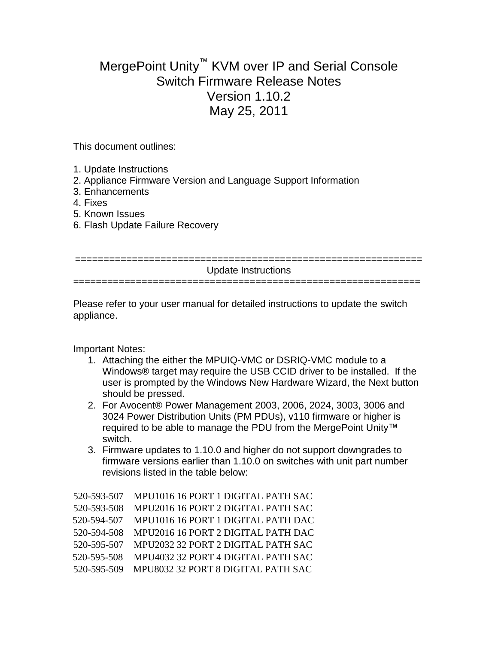## MergePoint Unity™ KVM over IP and Serial Console Switch Firmware Release Notes Version 1.10.2 May 25, 2011

This document outlines:

- 1. Update Instructions
- 2. Appliance Firmware Version and Language Support Information
- 3. Enhancements
- 4. Fixes
- 5. Known Issues
- 6. Flash Update Failure Recovery

| Update Instructions |
|---------------------|
|                     |
|                     |

Please refer to your user manual for detailed instructions to update the switch appliance.

Important Notes:

- 1. Attaching the either the MPUIQ-VMC or DSRIQ-VMC module to a Windows® target may require the USB CCID driver to be installed. If the user is prompted by the Windows New Hardware Wizard, the Next button should be pressed.
- 2. For Avocent® Power Management 2003, 2006, 2024, 3003, 3006 and 3024 Power Distribution Units (PM PDUs), v110 firmware or higher is required to be able to manage the PDU from the MergePoint Unity™ switch.
- 3. Firmware updates to 1.10.0 and higher do not support downgrades to firmware versions earlier than 1.10.0 on switches with unit part number revisions listed in the table below:

| 520-593-507 | MPU1016 16 PORT 1 DIGITAL PATH SAC             |
|-------------|------------------------------------------------|
| 520-593-508 | MPU2016 16 PORT 2 DIGITAL PATH SAC             |
| 520-594-507 | MPU1016 16 PORT 1 DIGITAL PATH DAC             |
| 520-594-508 | MPU2016 16 PORT 2 DIGITAL PATH DAC             |
| 520-595-507 | MPU2032 32 PORT 2 DIGITAL PATH SAC             |
| 520-595-508 | MPU4032 32 PORT 4 DIGITAL PATH SAC             |
|             | 520-595-509 MPU8032 32 PORT 8 DIGITAL PATH SAC |
|             |                                                |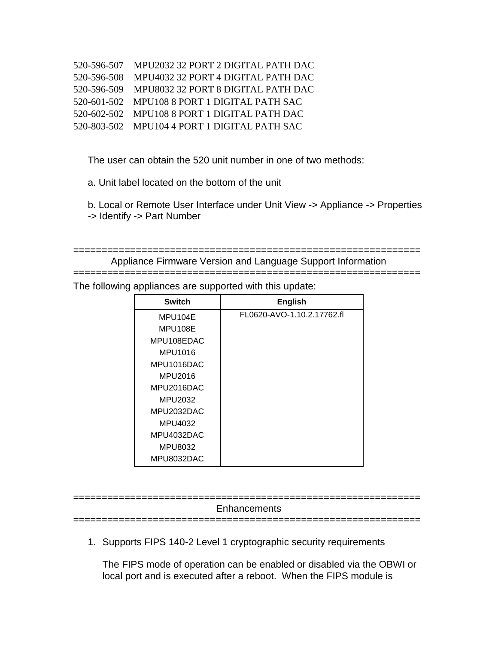| 520-596-507 MPU2032 32 PORT 2 DIGITAL PATH DAC |
|------------------------------------------------|
| 520-596-508 MPU4032 32 PORT 4 DIGITAL PATH DAC |
| 520-596-509 MPU8032 32 PORT 8 DIGITAL PATH DAC |
| 520-601-502 MPU108 8 PORT 1 DIGITAL PATH SAC   |
| 520-602-502 MPU108 8 PORT 1 DIGITAL PATH DAC   |
| 520-803-502 MPU104 4 PORT 1 DIGITAL PATH SAC   |

The user can obtain the 520 unit number in one of two methods:

- a. Unit label located on the bottom of the unit
- b. Local or Remote User Interface under Unit View -> Appliance -> Properties
- -> Identify -> Part Number

```
============================================================= 
Appliance Firmware Version and Language Support Information
```
=============================================================

The following appliances are supported with this update:

| <b>Switch</b> | <b>English</b>             |
|---------------|----------------------------|
| MPU104E       | FL0620-AVO-1.10.2.17762.fl |
| MPU108E       |                            |
| MPU108EDAC    |                            |
| MPU1016       |                            |
| MPU1016DAC    |                            |
| MPU2016       |                            |
| MPU2016DAC    |                            |
| MPU2032       |                            |
| MPU2032DAC    |                            |
| MPU4032       |                            |
| MPU4032DAC    |                            |
| MPU8032       |                            |
| MPU8032DAC    |                            |

**Enhancements** 

=============================================================

1. Supports FIPS 140-2 Level 1 cryptographic security requirements

=============================================================

The FIPS mode of operation can be enabled or disabled via the OBWI or local port and is executed after a reboot. When the FIPS module is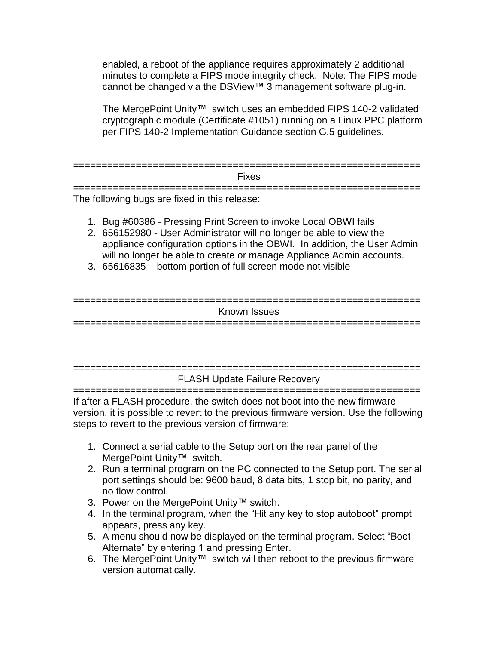enabled, a reboot of the appliance requires approximately 2 additional minutes to complete a FIPS mode integrity check. Note: The FIPS mode cannot be changed via the DSView™ 3 management software plug-in.

The MergePoint Unity™ switch uses an embedded FIPS 140-2 validated cryptographic module (Certificate #1051) running on a Linux PPC platform per FIPS 140-2 Implementation Guidance section G.5 guidelines.

============================================================= Fixes

=============================================================

The following bugs are fixed in this release:

- 1. Bug #60386 Pressing Print Screen to invoke Local OBWI fails
- 2. 656152980 User Administrator will no longer be able to view the appliance configuration options in the OBWI. In addition, the User Admin will no longer be able to create or manage Appliance Admin accounts.
- 3. 65616835 bottom portion of full screen mode not visible

============================================================= Known Issues =============================================================

============================================================= FLASH Update Failure Recovery =============================================================

If after a FLASH procedure, the switch does not boot into the new firmware version, it is possible to revert to the previous firmware version. Use the following steps to revert to the previous version of firmware:

- 1. Connect a serial cable to the Setup port on the rear panel of the MergePoint Unity™ switch.
- 2. Run a terminal program on the PC connected to the Setup port. The serial port settings should be: 9600 baud, 8 data bits, 1 stop bit, no parity, and no flow control.
- 3. Power on the MergePoint Unity™ switch.
- 4. In the terminal program, when the "Hit any key to stop autoboot" prompt appears, press any key.
- 5. A menu should now be displayed on the terminal program. Select "Boot Alternate" by entering 1 and pressing Enter.
- 6. The MergePoint Unity™ switch will then reboot to the previous firmware version automatically.